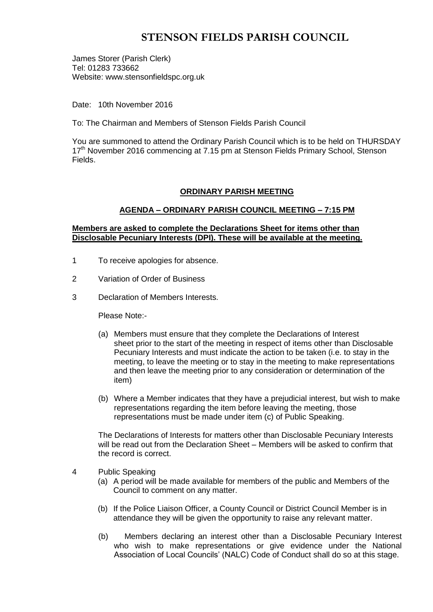# **STENSON FIELDS PARISH COUNCIL**

James Storer (Parish Clerk) Tel: 01283 733662 Website: www.stensonfieldspc.org.uk

Date: 10th November 2016

To: The Chairman and Members of Stenson Fields Parish Council

You are summoned to attend the Ordinary Parish Council which is to be held on THURSDAY 17<sup>th</sup> November 2016 commencing at 7.15 pm at Stenson Fields Primary School, Stenson Fields.

### **ORDINARY PARISH MEETING**

### **AGENDA – ORDINARY PARISH COUNCIL MEETING – 7:15 PM**

### **Members are asked to complete the Declarations Sheet for items other than Disclosable Pecuniary Interests (DPI). These will be available at the meeting.**

- 1 To receive apologies for absence.
- 2 Variation of Order of Business
- 3 Declaration of Members Interests.

Please Note:-

- (a) Members must ensure that they complete the Declarations of Interest sheet prior to the start of the meeting in respect of items other than Disclosable Pecuniary Interests and must indicate the action to be taken (i.e. to stay in the meeting, to leave the meeting or to stay in the meeting to make representations and then leave the meeting prior to any consideration or determination of the item)
- (b) Where a Member indicates that they have a prejudicial interest, but wish to make representations regarding the item before leaving the meeting, those representations must be made under item (c) of Public Speaking.

The Declarations of Interests for matters other than Disclosable Pecuniary Interests will be read out from the Declaration Sheet – Members will be asked to confirm that the record is correct.

- 4 Public Speaking
	- (a) A period will be made available for members of the public and Members of the Council to comment on any matter.
	- (b) If the Police Liaison Officer, a County Council or District Council Member is in attendance they will be given the opportunity to raise any relevant matter.
	- (b) Members declaring an interest other than a Disclosable Pecuniary Interest who wish to make representations or give evidence under the National Association of Local Councils' (NALC) Code of Conduct shall do so at this stage.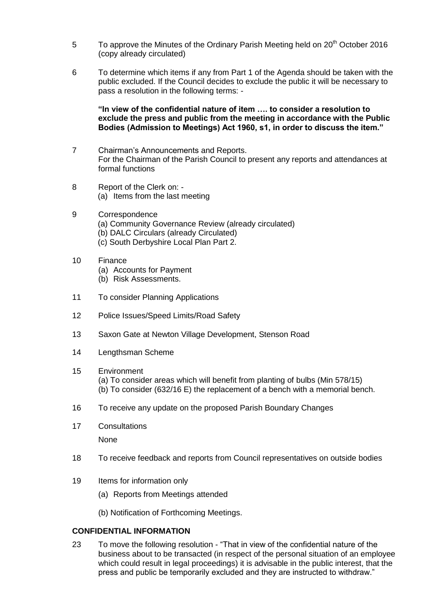- 5 To approve the Minutes of the Ordinary Parish Meeting held on 20<sup>th</sup> October 2016 (copy already circulated)
- 6 To determine which items if any from Part 1 of the Agenda should be taken with the public excluded. If the Council decides to exclude the public it will be necessary to pass a resolution in the following terms: -

**"In view of the confidential nature of item …. to consider a resolution to exclude the press and public from the meeting in accordance with the Public Bodies (Admission to Meetings) Act 1960, s1, in order to discuss the item."** 

- 7 Chairman's Announcements and Reports. For the Chairman of the Parish Council to present any reports and attendances at formal functions
- 8 Report of the Clerk on: (a) Items from the last meeting
- 9 Correspondence
	- (a) Community Governance Review (already circulated)
	- (b) DALC Circulars (already Circulated)
	- (c) South Derbyshire Local Plan Part 2.
- 10 Finance
	- (a) Accounts for Payment
	- (b) Risk Assessments.
- 11 To consider Planning Applications
- 12 Police Issues/Speed Limits/Road Safety
- 13 Saxon Gate at Newton Village Development, Stenson Road
- 14 Lengthsman Scheme

#### 15 Environment

(a) To consider areas which will benefit from planting of bulbs (Min 578/15) (b) To consider (632/16 E) the replacement of a bench with a memorial bench.

- 16 To receive any update on the proposed Parish Boundary Changes
- 17 Consultations

None

- 18 To receive feedback and reports from Council representatives on outside bodies
- 19 Items for information only
	- (a) Reports from Meetings attended
	- (b) Notification of Forthcoming Meetings.

### **CONFIDENTIAL INFORMATION**

23 To move the following resolution - "That in view of the confidential nature of the business about to be transacted (in respect of the personal situation of an employee which could result in legal proceedings) it is advisable in the public interest, that the press and public be temporarily excluded and they are instructed to withdraw."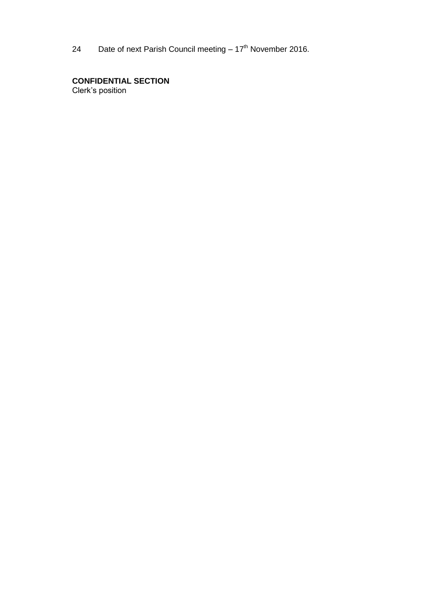24 Date of next Parish Council meeting  $-17<sup>th</sup>$  November 2016.

**CONFIDENTIAL SECTION**  Clerk's position